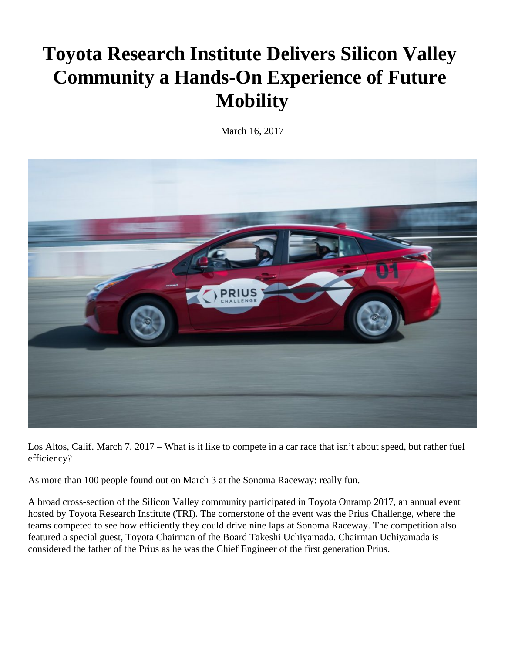## **Toyota Research Institute Delivers Silicon Valley Community a Hands-On Experience of Future Mobility**

March 16, 2017



Los Altos, Calif. March 7, 2017 – What is it like to compete in a car race that isn't about speed, but rather fuel efficiency?

As more than 100 people found out on March 3 at the Sonoma Raceway: really fun.

A broad cross-section of the Silicon Valley community participated in Toyota Onramp 2017, an annual event hosted by Toyota Research Institute (TRI). The cornerstone of the event was the Prius Challenge, where the teams competed to see how efficiently they could drive nine laps at Sonoma Raceway. The competition also featured a special guest, Toyota Chairman of the Board Takeshi Uchiyamada. Chairman Uchiyamada is considered the father of the Prius as he was the Chief Engineer of the first generation Prius.